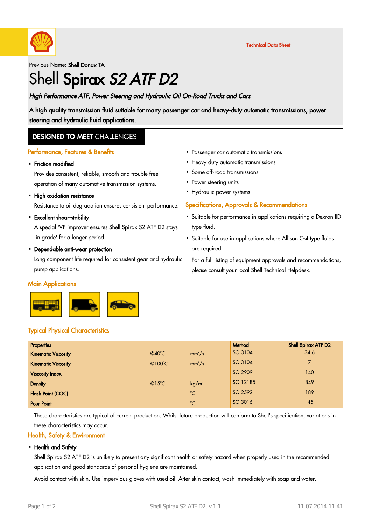

Technical Data Sheet

Previous Name: Shell Donax TA

# Shell Spirax S2 ATF D2

### High Performance ATF, Power Steering and Hydraulic Oil On-Road Trucks and Cars

A high quality transmission fluid suitable for many passenger car and heavy-duty automatic transmissions, power steering and hydraulic fluid applications.

### **DESIGNED TO MEET CHALLENGES**

#### Performance, Features & Benefits

# • Friction modified

Provides consistent, reliable, smooth and trouble free operation of many automotive transmission systems.

# • High oxidation resistance

Resistance to oil degradation ensures consistent performance.

# Excellent shear-stability ·

A special 'VI' improver ensures Shell Spirax S2 ATF D2 stays 'in grade' for a longer period.

# Dependable anti-wear protection ·

Long component life required for consistent gear and hydraulic pump applications.

#### **Main Applications**



- Passenger car automatic transmissions ·
- Heavy duty automatic transmissions
- Some off-road transmissions
- Power steering units
- Hydraulic power systems

#### Specifications, Approvals & Recommendations

- Suitable for performance in applications requiring a Dexron IID type fluid.
- Suitable for use in applications where Allison C-4 type fluids · are required.

For a full listing of equipment approvals and recommendations, please consult your local Shell Technical Helpdesk.

### Typical Physical Characteristics

| <b>Properties</b>          |                           |                   | Method           | Shell Spirax ATF D2 |
|----------------------------|---------------------------|-------------------|------------------|---------------------|
| <b>Kinematic Viscosity</b> | $@40^{\circ}$ C           | $mm^2/s$          | <b>ISO 3104</b>  | 34.6                |
| <b>Kinematic Viscosity</b> | @100 $\mathrm{^{\circ}C}$ | $mm^2/s$          | <b>ISO 3104</b>  |                     |
| <b>Viscosity Index</b>     |                           |                   | <b>ISO 2909</b>  | 140                 |
| <b>Density</b>             | $@15^{\circ}$ C           | kg/m <sup>3</sup> | <b>ISO 12185</b> | 849                 |
| <b>Flash Point (COC)</b>   |                           | $^{\circ}C$       | <b>ISO 2592</b>  | 189                 |
| <b>Pour Point</b>          |                           | $\rm ^{0}C$       | <b>ISO 3016</b>  | $-45$               |

These characteristics are typical of current production. Whilst future production will conform to Shell's specification, variations in these characteristics may occur.

#### Health, Safety & Environment

#### • Health and Safety

Shell Spirax S2 ATF D2 is unlikely to present any significant health or safety hazard when properly used in the recommended application and good standards of personal hygiene are maintained.

Avoid contact with skin. Use impervious gloves with used oil. After skin contact, wash immediately with soap and water.